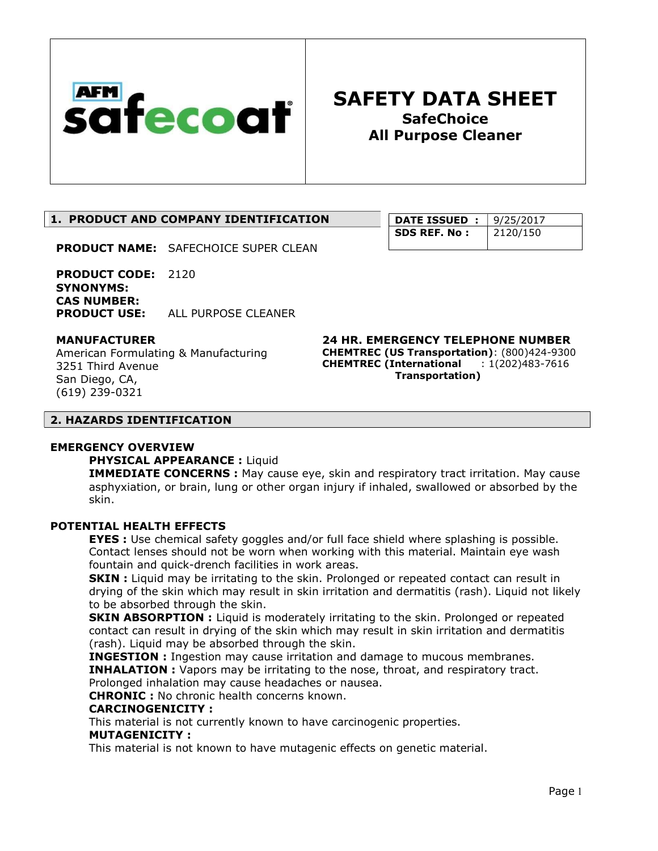

**DATE ISSUED : 9/25/2017 SDS REF. No:** 2120/150

## 1. PRODUCT AND COMPANY IDENTIFICATION

PRODUCT NAME: SAFECHOICE SUPER CLEAN

PRODUCT CODE: 2120 SYNONYMS: CAS NUMBER: PRODUCT USE: ALL PURPOSE CLEANER

#### MANUFACTURER

American Formulating & Manufacturing 3251 Third Avenue San Diego, CA, (619) 239-0321

24 HR. EMERGENCY TELEPHONE NUMBER CHEMTREC (US Transportation): (800)424-9300 CHEMTREC (International : 1(202)483-7616 Transportation)

#### 2. HAZARDS IDENTIFICATION

#### EMERGENCY OVERVIEW

## PHYSICAL APPEARANCE : Liquid

**IMMEDIATE CONCERNS :** May cause eye, skin and respiratory tract irritation. May cause asphyxiation, or brain, lung or other organ injury if inhaled, swallowed or absorbed by the skin.

#### POTENTIAL HEALTH EFFECTS

**EYES** : Use chemical safety goggles and/or full face shield where splashing is possible. Contact lenses should not be worn when working with this material. Maintain eye wash fountain and quick-drench facilities in work areas.

**SKIN** : Liquid may be irritating to the skin. Prolonged or repeated contact can result in drying of the skin which may result in skin irritation and dermatitis (rash). Liquid not likely to be absorbed through the skin.

**SKIN ABSORPTION :** Liquid is moderately irritating to the skin. Prolonged or repeated contact can result in drying of the skin which may result in skin irritation and dermatitis (rash). Liquid may be absorbed through the skin.

INGESTION : Ingestion may cause irritation and damage to mucous membranes. **INHALATION** : Vapors may be irritating to the nose, throat, and respiratory tract. Prolonged inhalation may cause headaches or nausea.

CHRONIC : No chronic health concerns known.

## CARCINOGENICITY :

This material is not currently known to have carcinogenic properties.

#### MUTAGENICITY :

This material is not known to have mutagenic effects on genetic material.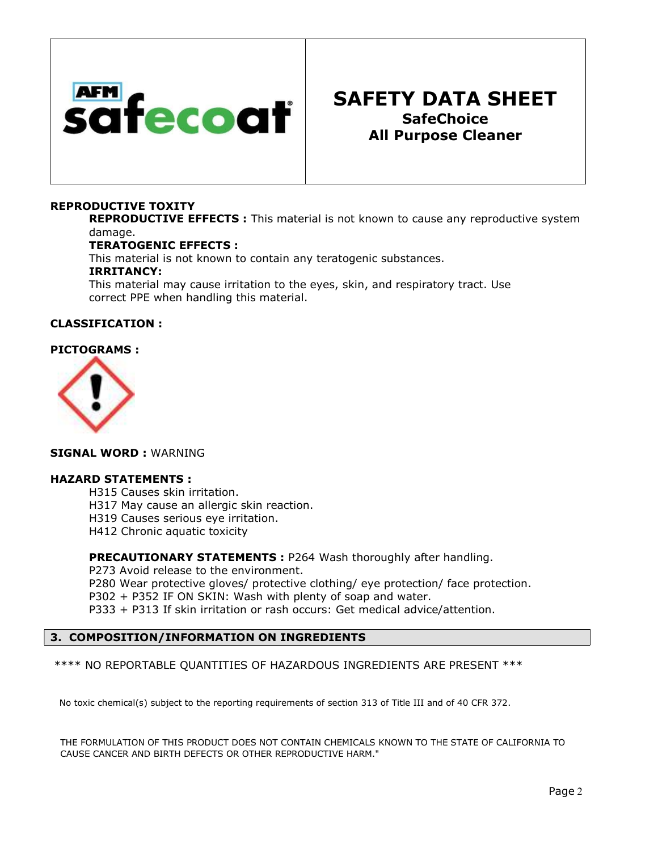

#### REPRODUCTIVE TOXITY

**REPRODUCTIVE EFFECTS**: This material is not known to cause any reproductive system damage.

#### TERATOGENIC EFFECTS :

This material is not known to contain any teratogenic substances.

#### IRRITANCY:

This material may cause irritation to the eyes, skin, and respiratory tract. Use correct PPE when handling this material.

#### CLASSIFICATION :

## PICTOGRAMS :



#### SIGNAL WORD : WARNING

#### HAZARD STATEMENTS :

H315 Causes skin irritation. H317 May cause an allergic skin reaction. H319 Causes serious eye irritation.

H412 Chronic aquatic toxicity

PRECAUTIONARY STATEMENTS : P264 Wash thoroughly after handling.

P273 Avoid release to the environment.

P280 Wear protective gloves/ protective clothing/ eye protection/ face protection.

P302 + P352 IF ON SKIN: Wash with plenty of soap and water.

P333 + P313 If skin irritation or rash occurs: Get medical advice/attention.

#### 3. COMPOSITION/INFORMATION ON INGREDIENTS

\*\*\*\* NO REPORTABLE QUANTITIES OF HAZARDOUS INGREDIENTS ARE PRESENT \*\*\*

No toxic chemical(s) subject to the reporting requirements of section 313 of Title III and of 40 CFR 372.

THE FORMULATION OF THIS PRODUCT DOES NOT CONTAIN CHEMICALS KNOWN TO THE STATE OF CALIFORNIA TO CAUSE CANCER AND BIRTH DEFECTS OR OTHER REPRODUCTIVE HARM."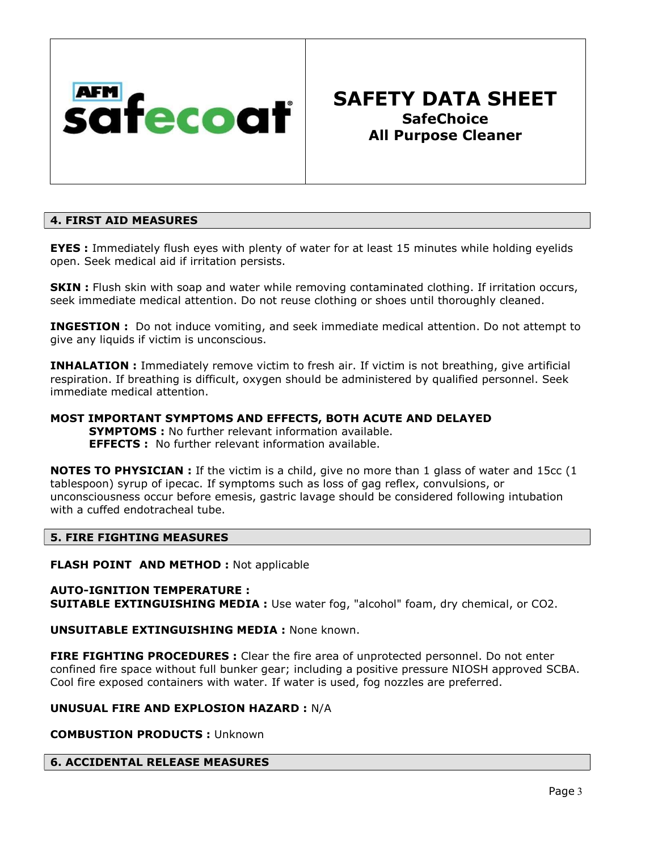

## 4. FIRST AID MEASURES

**EYES** : Immediately flush eyes with plenty of water for at least 15 minutes while holding eyelids open. Seek medical aid if irritation persists.

**SKIN** : Flush skin with soap and water while removing contaminated clothing. If irritation occurs, seek immediate medical attention. Do not reuse clothing or shoes until thoroughly cleaned.

**INGESTION :** Do not induce vomiting, and seek immediate medical attention. Do not attempt to give any liquids if victim is unconscious.

**INHALATION** : Immediately remove victim to fresh air. If victim is not breathing, give artificial respiration. If breathing is difficult, oxygen should be administered by qualified personnel. Seek immediate medical attention.

## MOST IMPORTANT SYMPTOMS AND EFFECTS, BOTH ACUTE AND DELAYED

**SYMPTOMS:** No further relevant information available. EFFECTS : No further relevant information available.

**NOTES TO PHYSICIAN** : If the victim is a child, give no more than 1 glass of water and 15cc (1 tablespoon) syrup of ipecac. If symptoms such as loss of gag reflex, convulsions, or unconsciousness occur before emesis, gastric lavage should be considered following intubation with a cuffed endotracheal tube.

## 5. FIRE FIGHTING MEASURES

**FLASH POINT AND METHOD : Not applicable** 

#### AUTO-IGNITION TEMPERATURE : **SUITABLE EXTINGUISHING MEDIA :** Use water fog, "alcohol" foam, dry chemical, or CO2.

## UNSUITABLE EXTINGUISHING MEDIA : None known.

FIRE FIGHTING PROCEDURES : Clear the fire area of unprotected personnel. Do not enter confined fire space without full bunker gear; including a positive pressure NIOSH approved SCBA. Cool fire exposed containers with water. If water is used, fog nozzles are preferred.

## UNUSUAL FIRE AND EXPLOSION HAZARD : N/A

COMBUSTION PRODUCTS : Unknown

## 6. ACCIDENTAL RELEASE MEASURES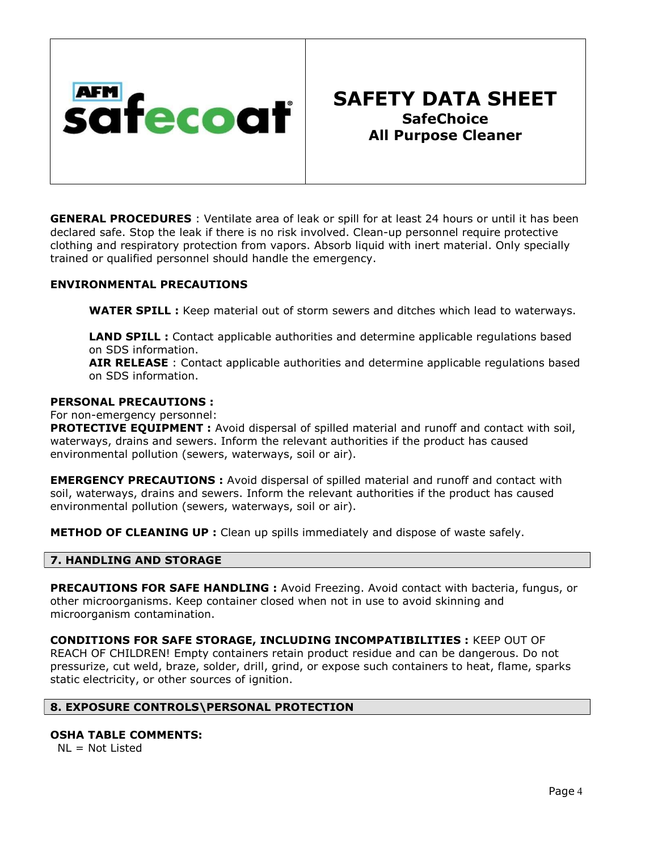

**GENERAL PROCEDURES** : Ventilate area of leak or spill for at least 24 hours or until it has been declared safe. Stop the leak if there is no risk involved. Clean-up personnel require protective clothing and respiratory protection from vapors. Absorb liquid with inert material. Only specially trained or qualified personnel should handle the emergency.

## ENVIRONMENTAL PRECAUTIONS

WATER SPILL : Keep material out of storm sewers and ditches which lead to waterways.

LAND SPILL : Contact applicable authorities and determine applicable regulations based on SDS information.

AIR RELEASE : Contact applicable authorities and determine applicable regulations based on SDS information.

#### PERSONAL PRECAUTIONS :

For non-emergency personnel:

**PROTECTIVE EQUIPMENT :** Avoid dispersal of spilled material and runoff and contact with soil, waterways, drains and sewers. Inform the relevant authorities if the product has caused environmental pollution (sewers, waterways, soil or air).

**EMERGENCY PRECAUTIONS :** Avoid dispersal of spilled material and runoff and contact with soil, waterways, drains and sewers. Inform the relevant authorities if the product has caused environmental pollution (sewers, waterways, soil or air).

**METHOD OF CLEANING UP :** Clean up spills immediately and dispose of waste safely.

## 7. HANDLING AND STORAGE

PRECAUTIONS FOR SAFE HANDLING : Avoid Freezing. Avoid contact with bacteria, fungus, or other microorganisms. Keep container closed when not in use to avoid skinning and microorganism contamination.

CONDITIONS FOR SAFE STORAGE, INCLUDING INCOMPATIBILITIES : KEEP OUT OF REACH OF CHILDREN! Empty containers retain product residue and can be dangerous. Do not pressurize, cut weld, braze, solder, drill, grind, or expose such containers to heat, flame, sparks static electricity, or other sources of ignition.

## 8. EXPOSURE CONTROLS\PERSONAL PROTECTION

## OSHA TABLE COMMENTS:

 $NL = Not Listed$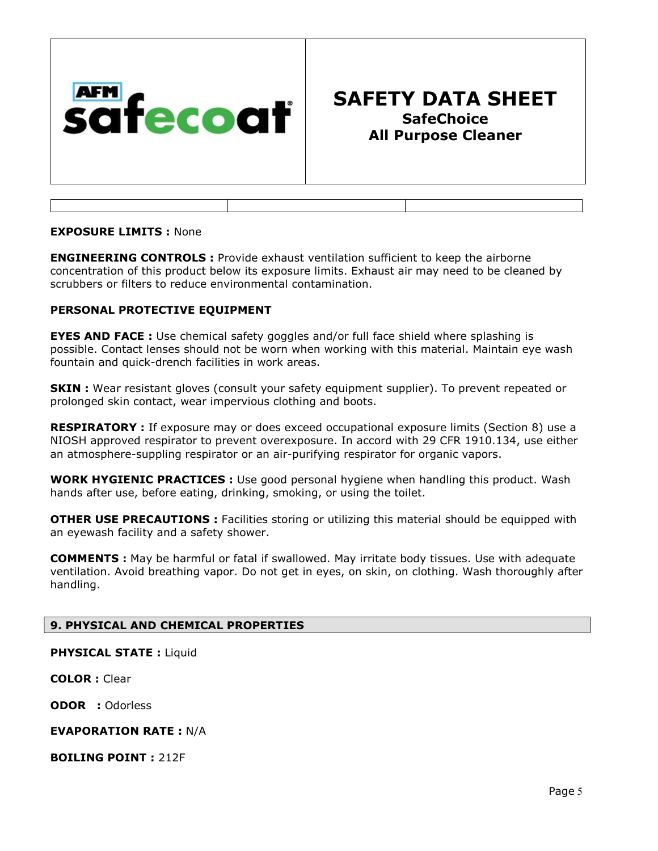

#### EXPOSURE LIMITS : None

**ENGINEERING CONTROLS** : Provide exhaust ventilation sufficient to keep the airborne concentration of this product below its exposure limits. Exhaust air may need to be cleaned by scrubbers or filters to reduce environmental contamination.

## PERSONAL PROTECTIVE EQUIPMENT

EYES AND FACE : Use chemical safety goggles and/or full face shield where splashing is possible. Contact lenses should not be worn when working with this material. Maintain eye wash fountain and quick-drench facilities in work areas.

**SKIN** : Wear resistant gloves (consult your safety equipment supplier). To prevent repeated or prolonged skin contact, wear impervious clothing and boots.

**RESPIRATORY** : If exposure may or does exceed occupational exposure limits (Section 8) use a NIOSH approved respirator to prevent overexposure. In accord with 29 CFR 1910.134, use either an atmosphere-suppling respirator or an air-purifying respirator for organic vapors.

**WORK HYGIENIC PRACTICES :** Use good personal hygiene when handling this product. Wash hands after use, before eating, drinking, smoking, or using the toilet.

**OTHER USE PRECAUTIONS:** Facilities storing or utilizing this material should be equipped with an eyewash facility and a safety shower.

COMMENTS : May be harmful or fatal if swallowed. May irritate body tissues. Use with adequate ventilation. Avoid breathing vapor. Do not get in eyes, on skin, on clothing. Wash thoroughly after handling.

#### 9. PHYSICAL AND CHEMICAL PROPERTIES

PHYSICAL STATE : Liquid

COLOR : Clear

ODOR : Odorless

#### EVAPORATION RATE : N/A

BOILING POINT : 212F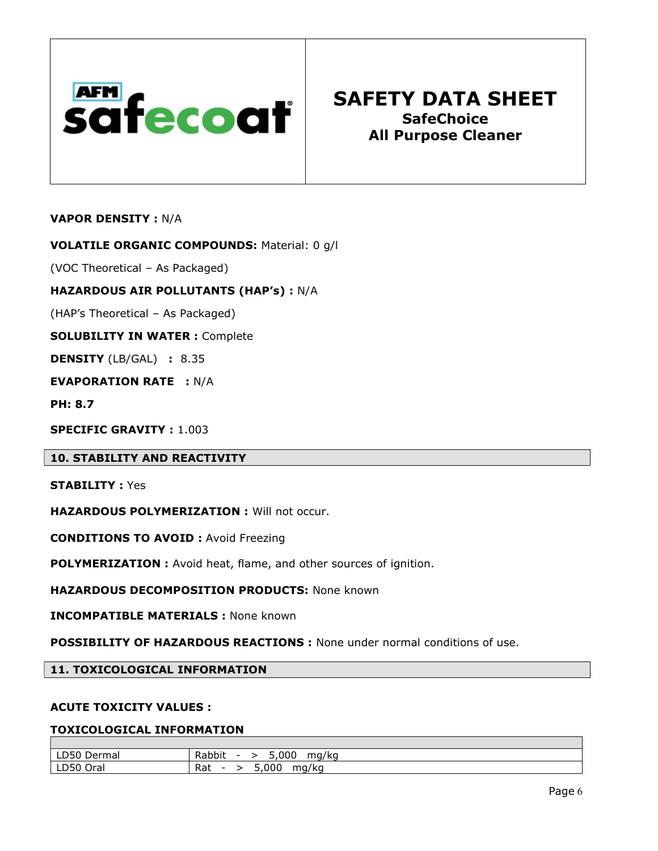

VAPOR DENSITY : N/A

VOLATILE ORGANIC COMPOUNDS: Material: 0 g/l

(VOC Theoretical – As Packaged)

HAZARDOUS AIR POLLUTANTS (HAP's) : N/A

(HAP's Theoretical – As Packaged)

SOLUBILITY IN WATER : Complete

DENSITY (LB/GAL) : 8.35

EVAPORATION RATE : N/A

PH: 8.7

SPECIFIC GRAVITY : 1.003

10. STABILITY AND REACTIVITY

STABILITY : Yes

HAZARDOUS POLYMERIZATION : Will not occur.

CONDITIONS TO AVOID : Avoid Freezing

POLYMERIZATION : Avoid heat, flame, and other sources of ignition.

**HAZARDOUS DECOMPOSITION PRODUCTS: None known** 

INCOMPATIBLE MATERIALS : None known

POSSIBILITY OF HAZARDOUS REACTIONS : None under normal conditions of use.

11. TOXICOLOGICAL INFORMATION

#### ACUTE TOXICITY VALUES :

## TOXICOLOGICAL INFORMATION

| $\sim$ $\sim$ $\sim$<br>$\overline{\phantom{0}}$<br>Dermal<br>LDJU | ,000<br>-<br>mg/kg<br>Rabbit<br>-<br>7ar<br>- - - |
|--------------------------------------------------------------------|---------------------------------------------------|
| ~-^<br>$\sim$<br>Ora.<br>LDSU                                      | 5,000<br>$\cdot$ .<br>Rat<br>mg/kg<br>-           |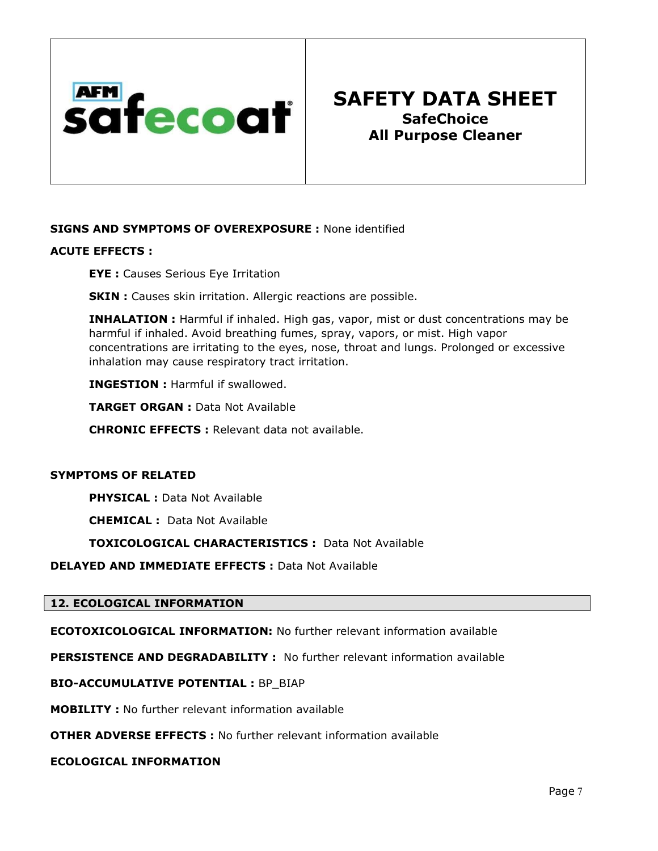

## SIGNS AND SYMPTOMS OF OVEREXPOSURE : None identified

## ACUTE EFFECTS :

EYE : Causes Serious Eye Irritation

**SKIN** : Causes skin irritation. Allergic reactions are possible.

INHALATION : Harmful if inhaled. High gas, vapor, mist or dust concentrations may be harmful if inhaled. Avoid breathing fumes, spray, vapors, or mist. High vapor concentrations are irritating to the eyes, nose, throat and lungs. Prolonged or excessive inhalation may cause respiratory tract irritation.

INGESTION : Harmful if swallowed.

TARGET ORGAN : Data Not Available

CHRONIC EFFECTS : Relevant data not available.

## SYMPTOMS OF RELATED

PHYSICAL : Data Not Available

CHEMICAL : Data Not Available

TOXICOLOGICAL CHARACTERISTICS : Data Not Available

DELAYED AND IMMEDIATE EFFECTS : Data Not Available

#### 12. ECOLOGICAL INFORMATION

ECOTOXICOLOGICAL INFORMATION: No further relevant information available

PERSISTENCE AND DEGRADABILITY : No further relevant information available

#### BIO-ACCUMULATIVE POTENTIAL : BP\_BIAP

MOBILITY : No further relevant information available

OTHER ADVERSE EFFECTS : No further relevant information available

ECOLOGICAL INFORMATION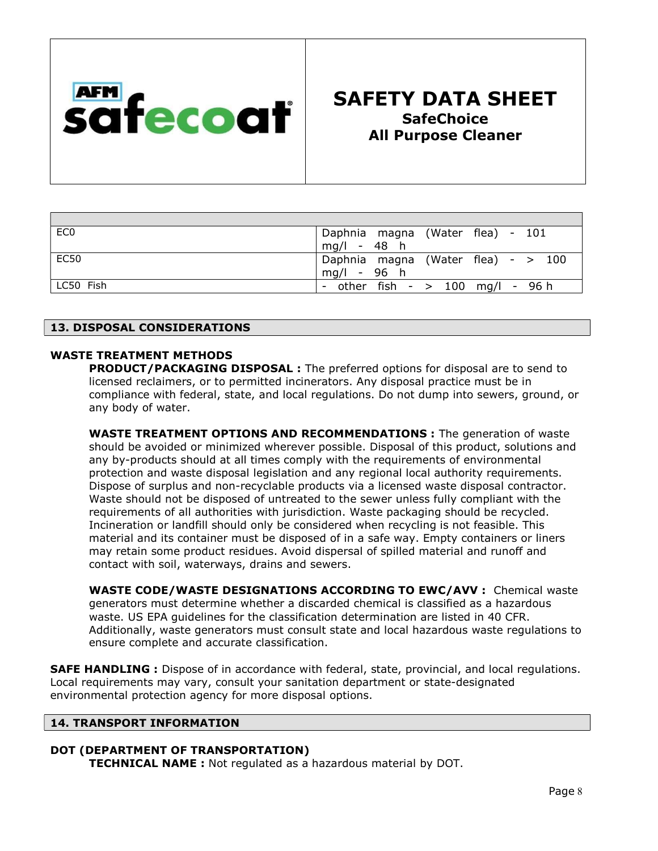

| EC <sub>0</sub> | Daphnia magna (Water flea) - 101   |
|-----------------|------------------------------------|
|                 | mg/l - 48 h                        |
| <b>EC50</b>     | Daphnia magna (Water flea) - > 100 |
|                 | mg/l - 96 h                        |
| LC50 Fish       | other fish $ >$ 100 mg/l $-$ 96 h  |

## 13. DISPOSAL CONSIDERATIONS

## WASTE TREATMENT METHODS

PRODUCT/PACKAGING DISPOSAL : The preferred options for disposal are to send to licensed reclaimers, or to permitted incinerators. Any disposal practice must be in compliance with federal, state, and local regulations. Do not dump into sewers, ground, or any body of water.

WASTE TREATMENT OPTIONS AND RECOMMENDATIONS : The generation of waste should be avoided or minimized wherever possible. Disposal of this product, solutions and any by-products should at all times comply with the requirements of environmental protection and waste disposal legislation and any regional local authority requirements. Dispose of surplus and non-recyclable products via a licensed waste disposal contractor. Waste should not be disposed of untreated to the sewer unless fully compliant with the requirements of all authorities with jurisdiction. Waste packaging should be recycled. Incineration or landfill should only be considered when recycling is not feasible. This material and its container must be disposed of in a safe way. Empty containers or liners may retain some product residues. Avoid dispersal of spilled material and runoff and contact with soil, waterways, drains and sewers.

WASTE CODE/WASTE DESIGNATIONS ACCORDING TO EWC/AVV : Chemical waste generators must determine whether a discarded chemical is classified as a hazardous waste. US EPA guidelines for the classification determination are listed in 40 CFR. Additionally, waste generators must consult state and local hazardous waste regulations to ensure complete and accurate classification.

**SAFE HANDLING** : Dispose of in accordance with federal, state, provincial, and local regulations. Local requirements may vary, consult your sanitation department or state-designated environmental protection agency for more disposal options.

## 14. TRANSPORT INFORMATION

## DOT (DEPARTMENT OF TRANSPORTATION)

TECHNICAL NAME : Not regulated as a hazardous material by DOT.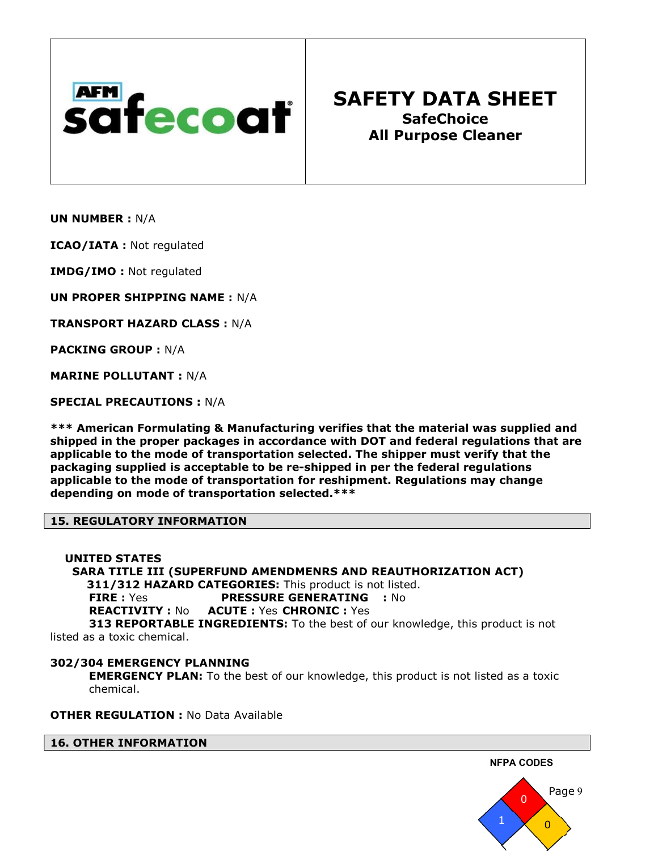

UN NUMBER : N/A

ICAO/IATA : Not regulated

IMDG/IMO : Not regulated

UN PROPER SHIPPING NAME : N/A

TRANSPORT HAZARD CLASS : N/A

PACKING GROUP : N/A

MARINE POLLUTANT : N/A

SPECIAL PRECAUTIONS : N/A

\*\*\* American Formulating & Manufacturing verifies that the material was supplied and shipped in the proper packages in accordance with DOT and federal regulations that are applicable to the mode of transportation selected. The shipper must verify that the packaging supplied is acceptable to be re-shipped in per the federal regulations applicable to the mode of transportation for reshipment. Regulations may change depending on mode of transportation selected.\*\*\*

## 15. REGULATORY INFORMATION

 UNITED STATES SARA TITLE III (SUPERFUND AMENDMENRS AND REAUTHORIZATION ACT) 311/312 HAZARD CATEGORIES: This product is not listed. FIRE : Yes **PRESSURE GENERATING** : No REACTIVITY : No ACUTE : Yes CHRONIC : Yes **313 REPORTABLE INGREDIENTS:** To the best of our knowledge, this product is not listed as a toxic chemical.

## 302/304 EMERGENCY PLANNING

**EMERGENCY PLAN:** To the best of our knowledge, this product is not listed as a toxic chemical.

**OTHER REGULATION: No Data Available** 

16. OTHER INFORMATION



NFPA CODES